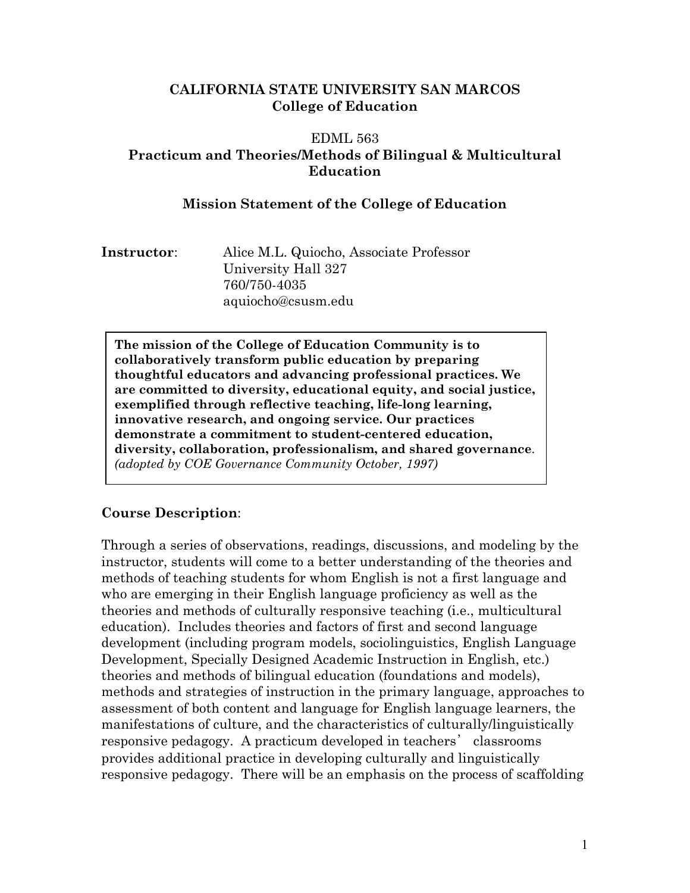#### **CALIFORNIA STATE UNIVERSITY SAN MARCOS College of Education**

#### EDML 563 **Practicum and Theories/Methods of Bilingual & Multicultural Education**

#### **Mission Statement of the College of Education**

**Instructor**: Alice M.L. Quiocho, Associate Professor University Hall 327 760/750-4035 aquiocho@csusm.edu

**The mission of the College of Education Community is to collaboratively transform public education by preparing thoughtful educators and advancing professional practices. We are committed to diversity, educational equity, and social justice, exemplified through reflective teaching, life-long learning, innovative research, and ongoing service. Our practices demonstrate a commitment to student-centered education, diversity, collaboration, professionalism, and shared governance**. *(adopted by COE Governance Community October, 1997)* 

#### **Course Description**:

Through a series of observations, readings, discussions, and modeling by the instructor, students will come to a better understanding of the theories and methods of teaching students for whom English is not a first language and who are emerging in their English language proficiency as well as the theories and methods of culturally responsive teaching (i.e., multicultural education). Includes theories and factors of first and second language development (including program models, sociolinguistics, English Language Development, Specially Designed Academic Instruction in English, etc.) theories and methods of bilingual education (foundations and models), methods and strategies of instruction in the primary language, approaches to assessment of both content and language for English language learners, the manifestations of culture, and the characteristics of culturally/linguistically responsive pedagogy. A practicum developed in teachers' classrooms provides additional practice in developing culturally and linguistically responsive pedagogy. There will be an emphasis on the process of scaffolding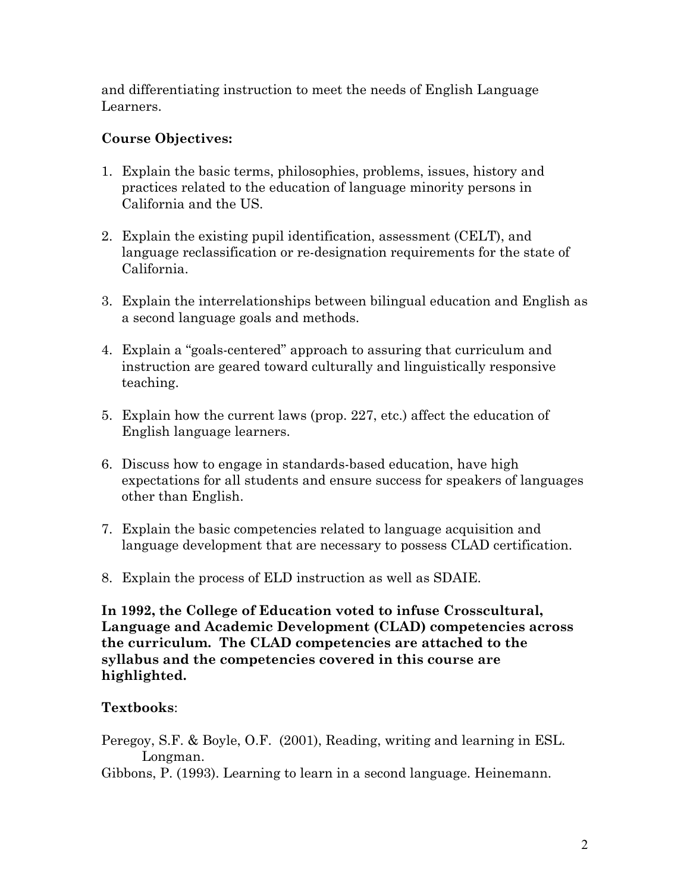and differentiating instruction to meet the needs of English Language Learners.

## **Course Objectives:**

- 1. Explain the basic terms, philosophies, problems, issues, history and practices related to the education of language minority persons in California and the US.
- 2. Explain the existing pupil identification, assessment (CELT), and language reclassification or re-designation requirements for the state of California.
- 3. Explain the interrelationships between bilingual education and English as a second language goals and methods.
- 4. Explain a "goals-centered" approach to assuring that curriculum and instruction are geared toward culturally and linguistically responsive teaching.
- 5. Explain how the current laws (prop. 227, etc.) affect the education of English language learners.
- 6. Discuss how to engage in standards-based education, have high expectations for all students and ensure success for speakers of languages other than English.
- 7. Explain the basic competencies related to language acquisition and language development that are necessary to possess CLAD certification.
- 8. Explain the process of ELD instruction as well as SDAIE.

**In 1992, the College of Education voted to infuse Crosscultural, Language and Academic Development (CLAD) competencies across the curriculum. The CLAD competencies are attached to the syllabus and the competencies covered in this course are highlighted.** 

#### **Textbooks**:

Peregoy, S.F. & Boyle, O.F. (2001), Reading, writing and learning in ESL. Longman.

Gibbons, P. (1993). Learning to learn in a second language. Heinemann.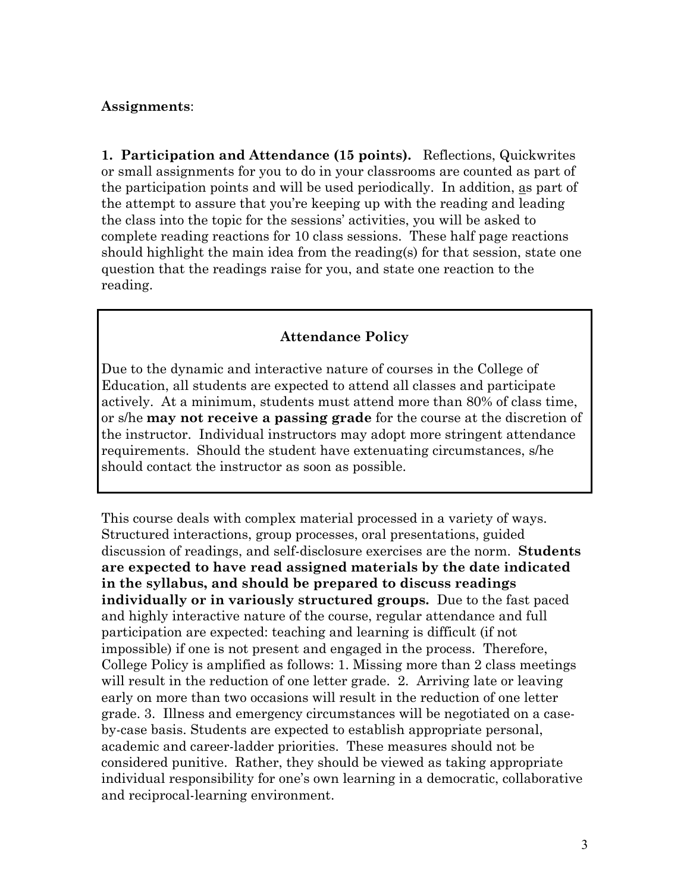#### **Assignments**:

**1. Participation and Attendance (15 points).** Reflections, Quickwrites or small assignments for you to do in your classrooms are counted as part of the participation points and will be used periodically. In addition, as part of the attempt to assure that you're keeping up with the reading and leading the class into the topic for the sessions' activities, you will be asked to complete reading reactions for 10 class sessions. These half page reactions should highlight the main idea from the reading(s) for that session, state one question that the readings raise for you, and state one reaction to the reading.

#### **Attendance Policy**

Due to the dynamic and interactive nature of courses in the College of Education, all students are expected to attend all classes and participate actively. At a minimum, students must attend more than 80% of class time, or s/he **may not receive a passing grade** for the course at the discretion of the instructor. Individual instructors may adopt more stringent attendance requirements. Should the student have extenuating circumstances, s/he should contact the instructor as soon as possible.

This course deals with complex material processed in a variety of ways. Structured interactions, group processes, oral presentations, guided discussion of readings, and self-disclosure exercises are the norm. **Students are expected to have read assigned materials by the date indicated in the syllabus, and should be prepared to discuss readings individually or in variously structured groups.** Due to the fast paced and highly interactive nature of the course, regular attendance and full participation are expected: teaching and learning is difficult (if not impossible) if one is not present and engaged in the process. Therefore, College Policy is amplified as follows: 1. Missing more than 2 class meetings will result in the reduction of one letter grade. 2. Arriving late or leaving early on more than two occasions will result in the reduction of one letter grade. 3. Illness and emergency circumstances will be negotiated on a caseby-case basis. Students are expected to establish appropriate personal, academic and career-ladder priorities. These measures should not be considered punitive. Rather, they should be viewed as taking appropriate individual responsibility for one's own learning in a democratic, collaborative and reciprocal-learning environment.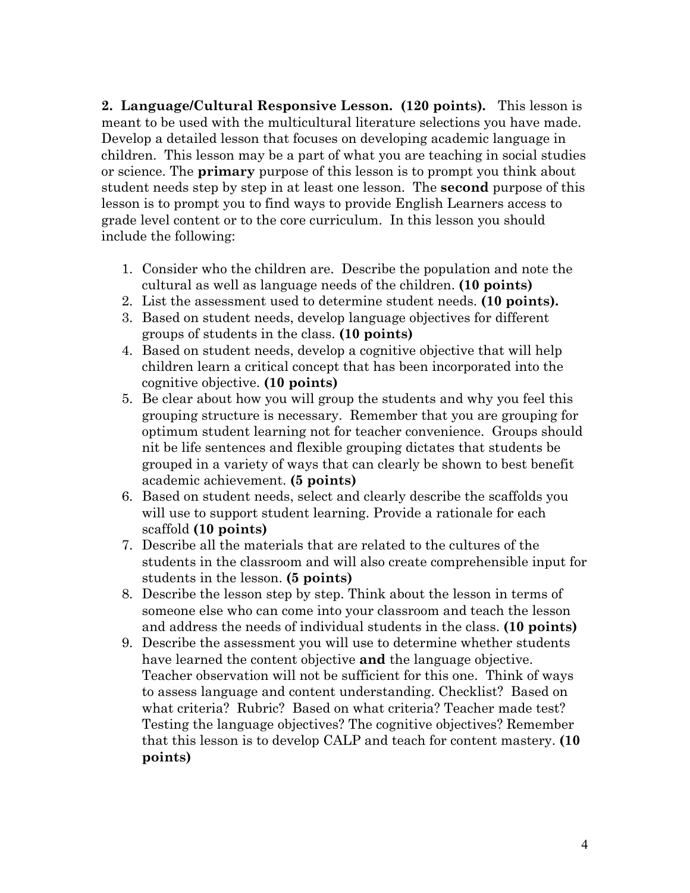**2. Language/Cultural Responsive Lesson. (120 points)***.* This lesson is meant to be used with the multicultural literature selections you have made. Develop a detailed lesson that focuses on developing academic language in children. This lesson may be a part of what you are teaching in social studies or science. The **primary** purpose of this lesson is to prompt you think about student needs step by step in at least one lesson. The **second** purpose of this lesson is to prompt you to find ways to provide English Learners access to grade level content or to the core curriculum. In this lesson you should include the following:

- 1. Consider who the children are. Describe the population and note the cultural as well as language needs of the children. **(10 points)**
- 2. List the assessment used to determine student needs. **(10 points).**
- 3. Based on student needs, develop language objectives for different groups of students in the class. **(10 points)**
- 4. Based on student needs, develop a cognitive objective that will help children learn a critical concept that has been incorporated into the cognitive objective. **(10 points)**
- 5. Be clear about how you will group the students and why you feel this grouping structure is necessary. Remember that you are grouping for optimum student learning not for teacher convenience. Groups should nit be life sentences and flexible grouping dictates that students be grouped in a variety of ways that can clearly be shown to best benefit academic achievement. **(5 points)**
- 6. Based on student needs, select and clearly describe the scaffolds you will use to support student learning. Provide a rationale for each scaffold **(10 points)**
- 7. Describe all the materials that are related to the cultures of the students in the classroom and will also create comprehensible input for students in the lesson. **(5 points)**
- 8. Describe the lesson step by step. Think about the lesson in terms of someone else who can come into your classroom and teach the lesson and address the needs of individual students in the class. **(10 points)**
- 9. Describe the assessment you will use to determine whether students have learned the content objective **and** the language objective. Teacher observation will not be sufficient for this one. Think of ways to assess language and content understanding. Checklist? Based on what criteria? Rubric? Based on what criteria? Teacher made test? Testing the language objectives? The cognitive objectives? Remember that this lesson is to develop CALP and teach for content mastery. **(10 points)**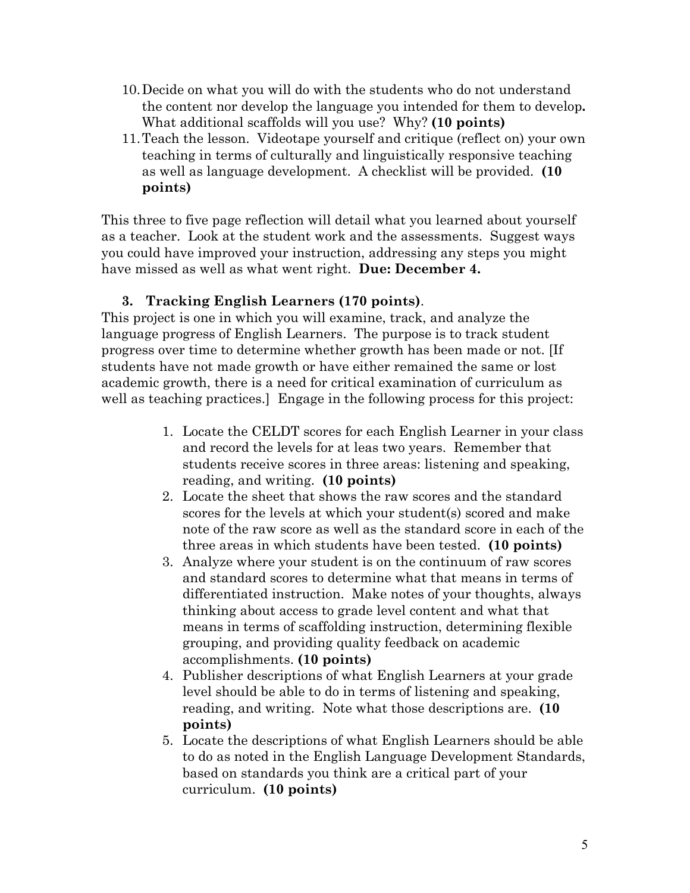- 10.Decide on what you will do with the students who do not understand the content nor develop the language you intended for them to develop**.**  What additional scaffolds will you use? Why? **(10 points)**
- 11.Teach the lesson. Videotape yourself and critique (reflect on) your own teaching in terms of culturally and linguistically responsive teaching as well as language development. A checklist will be provided. **(10 points)**

This three to five page reflection will detail what you learned about yourself as a teacher. Look at the student work and the assessments. Suggest ways you could have improved your instruction, addressing any steps you might have missed as well as what went right. **Due: December 4.** 

#### **3. Tracking English Learners (170 points)**.

This project is one in which you will examine, track, and analyze the language progress of English Learners. The purpose is to track student progress over time to determine whether growth has been made or not. [If students have not made growth or have either remained the same or lost academic growth, there is a need for critical examination of curriculum as well as teaching practices.] Engage in the following process for this project:

- 1. Locate the CELDT scores for each English Learner in your class and record the levels for at leas two years. Remember that students receive scores in three areas: listening and speaking, reading, and writing. **(10 points)**
- 2. Locate the sheet that shows the raw scores and the standard scores for the levels at which your student(s) scored and make note of the raw score as well as the standard score in each of the three areas in which students have been tested. **(10 points)**
- 3. Analyze where your student is on the continuum of raw scores and standard scores to determine what that means in terms of differentiated instruction. Make notes of your thoughts, always thinking about access to grade level content and what that means in terms of scaffolding instruction, determining flexible grouping, and providing quality feedback on academic accomplishments. **(10 points)**
- 4. Publisher descriptions of what English Learners at your grade level should be able to do in terms of listening and speaking, reading, and writing. Note what those descriptions are. **(10 points)**
- 5. Locate the descriptions of what English Learners should be able to do as noted in the English Language Development Standards, based on standards you think are a critical part of your curriculum. **(10 points)**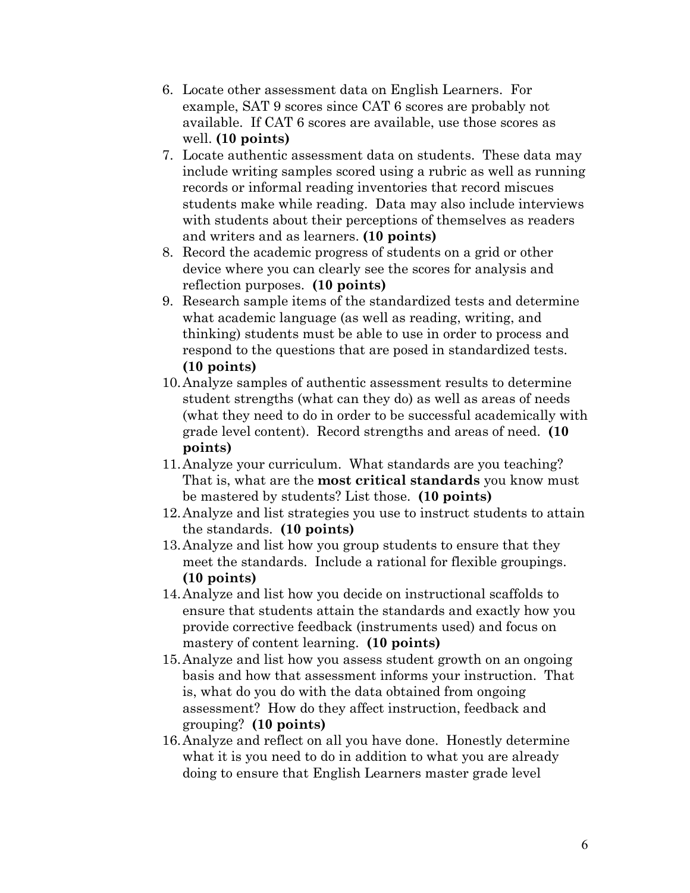- 6. Locate other assessment data on English Learners. For example, SAT 9 scores since CAT 6 scores are probably not available. If CAT 6 scores are available, use those scores as well. **(10 points)**
- 7. Locate authentic assessment data on students. These data may include writing samples scored using a rubric as well as running records or informal reading inventories that record miscues students make while reading. Data may also include interviews with students about their perceptions of themselves as readers and writers and as learners. **(10 points)**
- 8. Record the academic progress of students on a grid or other device where you can clearly see the scores for analysis and reflection purposes. **(10 points)**
- 9. Research sample items of the standardized tests and determine what academic language (as well as reading, writing, and thinking) students must be able to use in order to process and respond to the questions that are posed in standardized tests. **(10 points)**
- 10.Analyze samples of authentic assessment results to determine student strengths (what can they do) as well as areas of needs (what they need to do in order to be successful academically with grade level content). Record strengths and areas of need. **(10 points)**
- 11.Analyze your curriculum. What standards are you teaching? That is, what are the **most critical standards** you know must be mastered by students? List those. **(10 points)**
- 12.Analyze and list strategies you use to instruct students to attain the standards. **(10 points)**
- 13.Analyze and list how you group students to ensure that they meet the standards. Include a rational for flexible groupings. **(10 points)**
- 14.Analyze and list how you decide on instructional scaffolds to ensure that students attain the standards and exactly how you provide corrective feedback (instruments used) and focus on mastery of content learning. **(10 points)**
- 15.Analyze and list how you assess student growth on an ongoing basis and how that assessment informs your instruction. That is, what do you do with the data obtained from ongoing assessment? How do they affect instruction, feedback and grouping? **(10 points)**
- 16.Analyze and reflect on all you have done. Honestly determine what it is you need to do in addition to what you are already doing to ensure that English Learners master grade level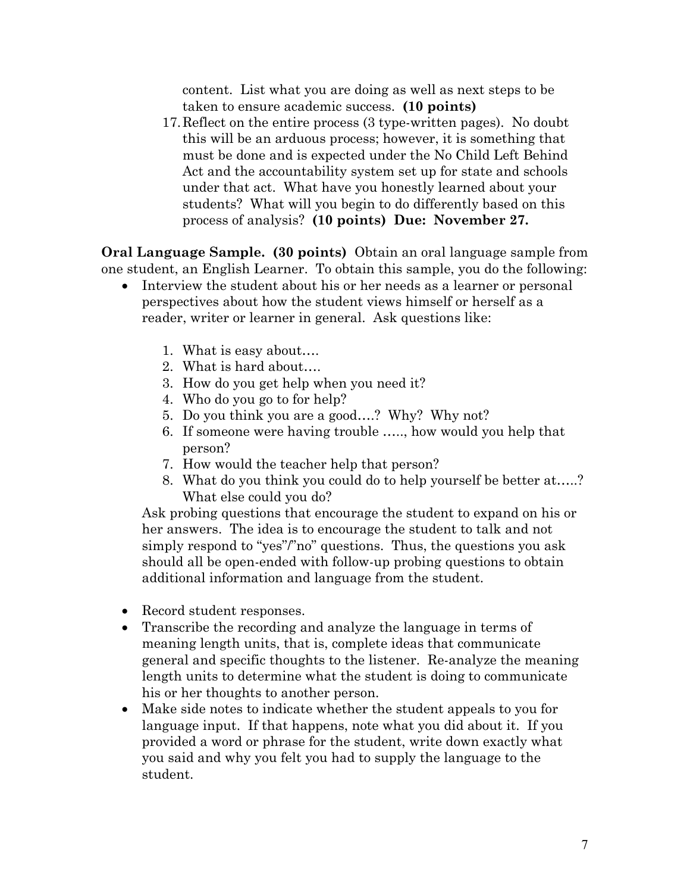content. List what you are doing as well as next steps to be taken to ensure academic success. **(10 points)** 

17.Reflect on the entire process (3 type-written pages). No doubt this will be an arduous process; however, it is something that must be done and is expected under the No Child Left Behind Act and the accountability system set up for state and schools under that act. What have you honestly learned about your students? What will you begin to do differently based on this process of analysis? **(10 points) Due: November 27.** 

**Oral Language Sample. (30 points)** Obtain an oral language sample from one student, an English Learner. To obtain this sample, you do the following:

- Interview the student about his or her needs as a learner or personal perspectives about how the student views himself or herself as a reader, writer or learner in general. Ask questions like:
	- 1. What is easy about….
	- 2. What is hard about….
	- 3. How do you get help when you need it?
	- 4. Who do you go to for help?
	- 5. Do you think you are a good….? Why? Why not?
	- 6. If someone were having trouble ….., how would you help that person?
	- 7. How would the teacher help that person?
	- 8. What do you think you could do to help yourself be better at…..? What else could you do?

Ask probing questions that encourage the student to expand on his or her answers. The idea is to encourage the student to talk and not simply respond to "yes"/"no" questions. Thus, the questions you ask should all be open-ended with follow-up probing questions to obtain additional information and language from the student.

- Record student responses.
- Transcribe the recording and analyze the language in terms of meaning length units, that is, complete ideas that communicate general and specific thoughts to the listener. Re-analyze the meaning length units to determine what the student is doing to communicate his or her thoughts to another person.
- Make side notes to indicate whether the student appeals to you for language input. If that happens, note what you did about it. If you provided a word or phrase for the student, write down exactly what you said and why you felt you had to supply the language to the student.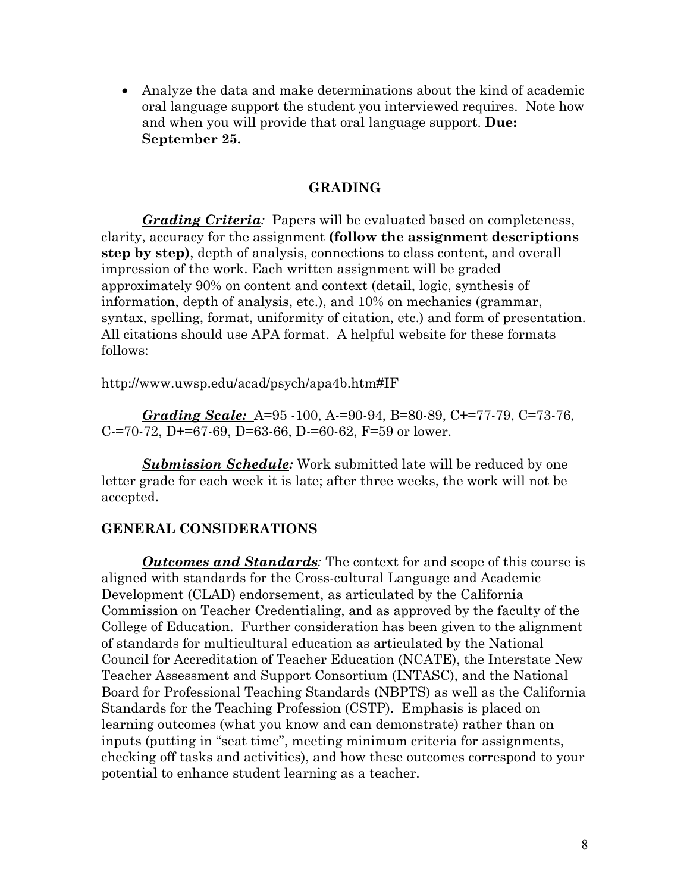• Analyze the data and make determinations about the kind of academic oral language support the student you interviewed requires. Note how and when you will provide that oral language support. **Due: September 25.** 

#### **GRADING**

*Grading Criteria:* Papers will be evaluated based on completeness, clarity, accuracy for the assignment **(follow the assignment descriptions step by step)**, depth of analysis, connections to class content, and overall impression of the work. Each written assignment will be graded approximately 90% on content and context (detail, logic, synthesis of information, depth of analysis, etc.), and 10% on mechanics (grammar, syntax, spelling, format, uniformity of citation, etc.) and form of presentation. All citations should use APA format. A helpful website for these formats follows:

http://www.uwsp.edu/acad/psych/apa4b.htm#IF

*Grading Scale:* A=95 -100, A-=90-94, B=80-89, C+=77-79, C=73-76, C-=70-72, D+=67-69, D=63-66, D-=60-62, F=59 or lower.

 *Submission Schedule:* Work submitted late will be reduced by one letter grade for each week it is late; after three weeks, the work will not be accepted.

#### **GENERAL CONSIDERATIONS**

*Outcomes and Standards:* The context for and scope of this course is aligned with standards for the Cross-cultural Language and Academic Development (CLAD) endorsement, as articulated by the California Commission on Teacher Credentialing, and as approved by the faculty of the College of Education. Further consideration has been given to the alignment of standards for multicultural education as articulated by the National Council for Accreditation of Teacher Education (NCATE), the Interstate New Teacher Assessment and Support Consortium (INTASC), and the National Board for Professional Teaching Standards (NBPTS) as well as the California Standards for the Teaching Profession (CSTP). Emphasis is placed on learning outcomes (what you know and can demonstrate) rather than on inputs (putting in "seat time", meeting minimum criteria for assignments, checking off tasks and activities), and how these outcomes correspond to your potential to enhance student learning as a teacher.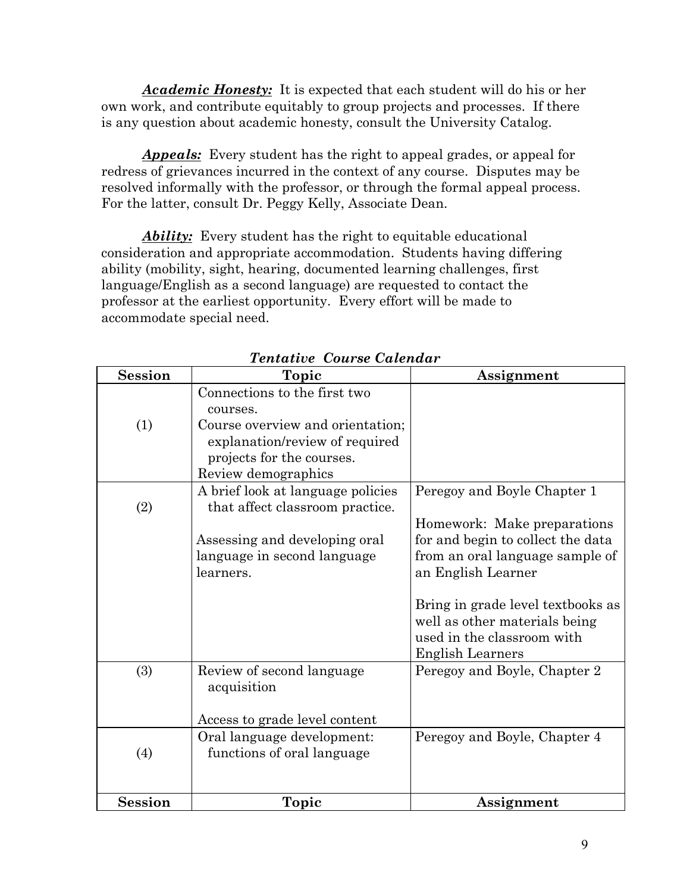*Academic Honesty:* It is expected that each student will do his or her own work, and contribute equitably to group projects and processes. If there is any question about academic honesty, consult the University Catalog.

*Appeals:* Every student has the right to appeal grades, or appeal for redress of grievances incurred in the context of any course. Disputes may be resolved informally with the professor, or through the formal appeal process. For the latter, consult Dr. Peggy Kelly, Associate Dean.

*Ability:* Every student has the right to equitable educational consideration and appropriate accommodation. Students having differing ability (mobility, sight, hearing, documented learning challenges, first language/English as a second language) are requested to contact the professor at the earliest opportunity. Every effort will be made to accommodate special need.

| <b>Session</b> | Topic                                                                              | Assignment                                                                                       |
|----------------|------------------------------------------------------------------------------------|--------------------------------------------------------------------------------------------------|
| (1)            | Connections to the first two<br>courses.<br>Course overview and orientation;       |                                                                                                  |
|                | explanation/review of required<br>projects for the courses.<br>Review demographics |                                                                                                  |
|                | A brief look at language policies                                                  | Peregoy and Boyle Chapter 1                                                                      |
| (2)            | that affect classroom practice.                                                    |                                                                                                  |
|                |                                                                                    | Homework: Make preparations                                                                      |
|                | Assessing and developing oral                                                      | for and begin to collect the data                                                                |
|                | language in second language<br>learners.                                           | from an oral language sample of                                                                  |
|                |                                                                                    | an English Learner                                                                               |
|                |                                                                                    | Bring in grade level textbooks as<br>well as other materials being<br>used in the classroom with |
|                |                                                                                    | <b>English Learners</b>                                                                          |
| (3)            | Review of second language<br>acquisition                                           | Peregoy and Boyle, Chapter 2                                                                     |
|                | Access to grade level content                                                      |                                                                                                  |
|                | Oral language development:                                                         | Peregoy and Boyle, Chapter 4                                                                     |
| (4)            | functions of oral language                                                         |                                                                                                  |
| <b>Session</b> | Topic                                                                              | Assignment                                                                                       |

*Tentative Course Calendar*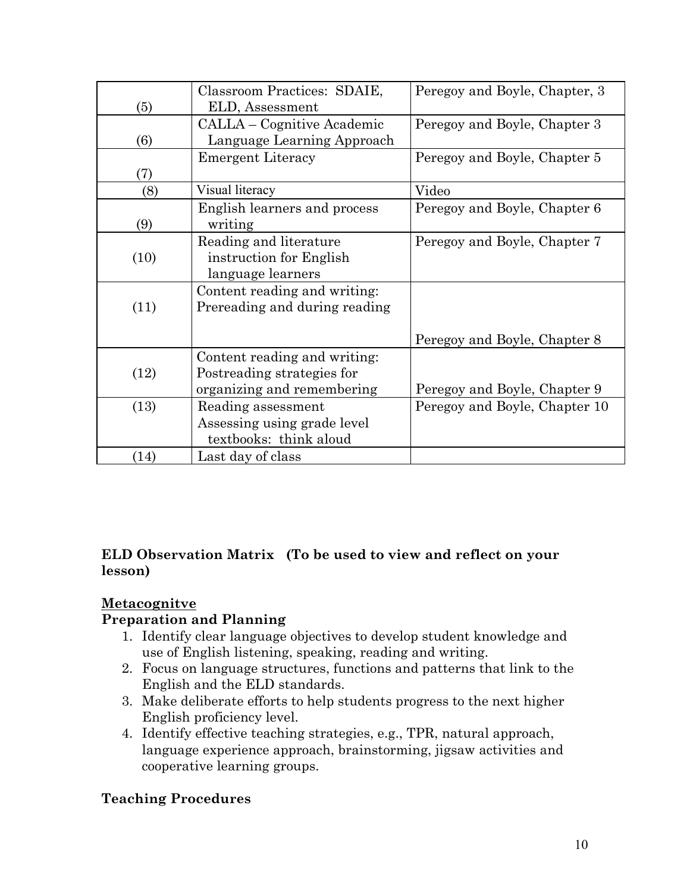|      | Classroom Practices: SDAIE,   | Peregoy and Boyle, Chapter, 3 |
|------|-------------------------------|-------------------------------|
| (5)  | ELD, Assessment               |                               |
|      | CALLA – Cognitive Academic    | Peregoy and Boyle, Chapter 3  |
| (6)  | Language Learning Approach    |                               |
|      | <b>Emergent Literacy</b>      | Peregoy and Boyle, Chapter 5  |
| (7)  |                               |                               |
| (8)  | Visual literacy               | Video                         |
|      | English learners and process  | Peregoy and Boyle, Chapter 6  |
| (9)  | writing                       |                               |
|      | Reading and literature        | Peregoy and Boyle, Chapter 7  |
| (10) | instruction for English       |                               |
|      | language learners             |                               |
|      | Content reading and writing:  |                               |
| (11) | Prereading and during reading |                               |
|      |                               |                               |
|      |                               | Peregoy and Boyle, Chapter 8  |
|      | Content reading and writing:  |                               |
| (12) | Postreading strategies for    |                               |
|      | organizing and remembering    | Peregoy and Boyle, Chapter 9  |
| (13) | Reading assessment            | Peregoy and Boyle, Chapter 10 |
|      | Assessing using grade level   |                               |
|      | textbooks: think aloud        |                               |
| (14) | Last day of class             |                               |

## **ELD Observation Matrix (To be used to view and reflect on your lesson)**

# **Metacognitve**

# **Preparation and Planning**

- 1. Identify clear language objectives to develop student knowledge and use of English listening, speaking, reading and writing.
- 2. Focus on language structures, functions and patterns that link to the English and the ELD standards.
- 3. Make deliberate efforts to help students progress to the next higher English proficiency level.
- 4. Identify effective teaching strategies, e.g., TPR, natural approach, language experience approach, brainstorming, jigsaw activities and cooperative learning groups.

# **Teaching Procedures**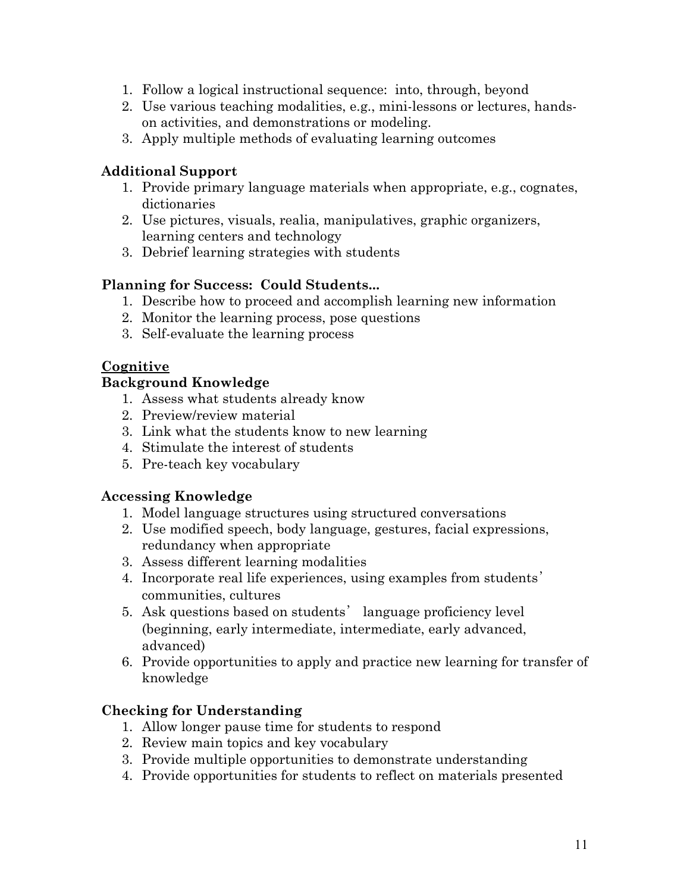- 1. Follow a logical instructional sequence: into, through, beyond
- 2. Use various teaching modalities, e.g., mini-lessons or lectures, handson activities, and demonstrations or modeling.
- 3. Apply multiple methods of evaluating learning outcomes

### **Additional Support**

- 1. Provide primary language materials when appropriate, e.g., cognates, dictionaries
- 2. Use pictures, visuals, realia, manipulatives, graphic organizers, learning centers and technology
- 3. Debrief learning strategies with students

## **Planning for Success: Could Students...**

- 1. Describe how to proceed and accomplish learning new information
- 2. Monitor the learning process, pose questions
- 3. Self-evaluate the learning process

# **Cognitive**

#### **Background Knowledge**

- 1. Assess what students already know
- 2. Preview/review material
- 3. Link what the students know to new learning
- 4. Stimulate the interest of students
- 5. Pre-teach key vocabulary

#### **Accessing Knowledge**

- 1. Model language structures using structured conversations
- 2. Use modified speech, body language, gestures, facial expressions, redundancy when appropriate
- 3. Assess different learning modalities
- 4. Incorporate real life experiences, using examples from students' communities, cultures
- 5. Ask questions based on students' language proficiency level (beginning, early intermediate, intermediate, early advanced, advanced)
- 6. Provide opportunities to apply and practice new learning for transfer of knowledge

#### **Checking for Understanding**

- 1. Allow longer pause time for students to respond
- 2. Review main topics and key vocabulary
- 3. Provide multiple opportunities to demonstrate understanding
- 4. Provide opportunities for students to reflect on materials presented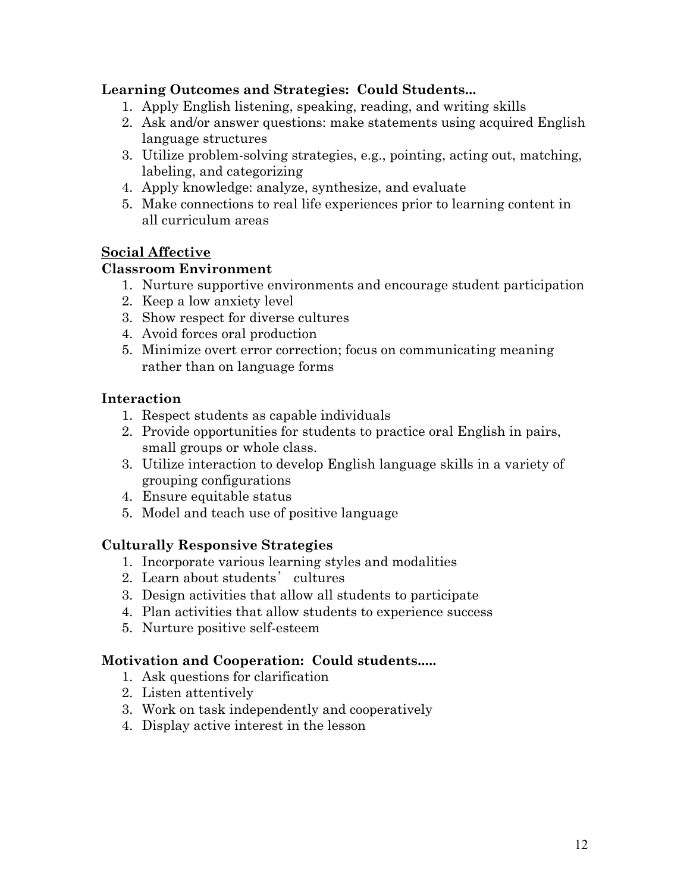### **Learning Outcomes and Strategies: Could Students...**

- 1. Apply English listening, speaking, reading, and writing skills
- 2. Ask and/or answer questions: make statements using acquired English language structures
- 3. Utilize problem-solving strategies, e.g., pointing, acting out, matching, labeling, and categorizing
- 4. Apply knowledge: analyze, synthesize, and evaluate
- 5. Make connections to real life experiences prior to learning content in all curriculum areas

#### **Social Affective**

#### **Classroom Environment**

- 1. Nurture supportive environments and encourage student participation
- 2. Keep a low anxiety level
- 3. Show respect for diverse cultures
- 4. Avoid forces oral production
- 5. Minimize overt error correction; focus on communicating meaning rather than on language forms

## **Interaction**

- 1. Respect students as capable individuals
- 2. Provide opportunities for students to practice oral English in pairs, small groups or whole class.
- 3. Utilize interaction to develop English language skills in a variety of grouping configurations
- 4. Ensure equitable status
- 5. Model and teach use of positive language

#### **Culturally Responsive Strategies**

- 1. Incorporate various learning styles and modalities
- 2. Learn about students' cultures
- 3. Design activities that allow all students to participate
- 4. Plan activities that allow students to experience success
- 5. Nurture positive self-esteem

#### **Motivation and Cooperation: Could students.....**

- 1. Ask questions for clarification
- 2. Listen attentively
- 3. Work on task independently and cooperatively
- 4. Display active interest in the lesson